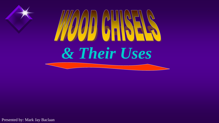

Presented by: Mark Jay Baclaan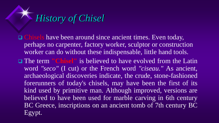

- □ Chisels have been around since ancient times. Even today, perhaps no carpenter, factory worker, sculptor or construction worker can do without these indispensable, little hand tools.
- The term **"Chisel"** is believed to have evolved from the Latin word *"seco"* (I cut) or the French word *"ciseau."* As ancient, archaeological discoveries indicate, the crude, stone-fashioned forerunners of today's chisels, may have been the first of its kind used by primitive man. Although improved, versions are believed to have been used for marble carving in 6th century BC Greece, inscriptions on an ancient tomb of 7th century BC Egypt.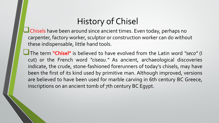## History of Chisel

Chisels have been around since ancient times. Even today, perhaps no carpenter, factory worker, sculptor or construction worker can do without these indispensable, little hand tools.

The term **"Chisel"** is believed to have evolved from the Latin word *"seco"* (I cut) or the French word *"ciseau."* As ancient, archaeological discoveries indicate, the crude, stone-fashioned forerunners of today's chisels, may have been the first of its kind used by primitive man. Although improved, versions are believed to have been used for marble carving in 6th century BC Greece, inscriptions on an ancient tomb of 7th century BC Egypt.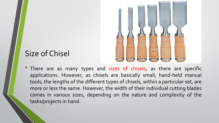

### Size of Chisel

• There are as many types and sizes of chisels, as there are specific applications. However, as chisels are basically small, hand-held manual tools, the lengths of the different types of chisels, within a particular set, are more or less the same. However, the width of their individual cutting blades comes in various sizes, depending on the nature and complexity of the tasks/projects in hand.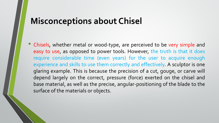## **Misconceptions about Chisel**

• Chisels, whether metal or wood-type, are perceived to be very simple and easy to use, as opposed to power tools. However, the truth is that it does require considerable time (even years) for the user to acquire enough experience and skills to use them correctly and effectively. A sculptor is one glaring example. This is because the precision of a cut, gouge, or carve will depend largely on the correct, pressure (force) exerted on the chisel and base material, as well as the precise, angular-positioning of the blade to the surface of the materials or objects.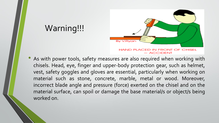

• As with power tools, safety measures are also required when working with chisels. Head, eye, finger and upper-body protection gear, such as helmet, vest, safety goggles and gloves are essential, particularly when working on material such as stone, concrete, marble, metal or wood. Moreover, incorrect blade angle and pressure (force) exerted on the chisel and on the material surface, can spoil or damage the base material/s or object/s being worked on.

Warning!!!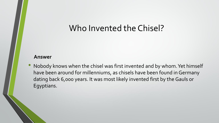### Who Invented the Chisel?

#### **Answer**

Nobody knows when the chisel was first invented and by whom. Yet himself have been around for millenniums, as chisels have been found in Germany dating back 6,000 years. It was most likely invented first by the Gauls or Egyptians.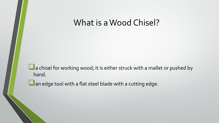### What is a Wood Chisel?

**L** a chisel for working wood; it is either struck with a mallet or pushed by hand.

**L** an edge tool with a flat steel blade with a cutting edge.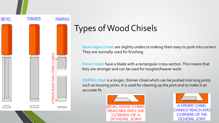

# Types of Wood Chisels

*Bevel edged chisels* are slightly undercut making them easy to push into corners. They are normally used for finishing.

*Firmer chisels* have a blade with a rectangular cross-section. This means that they are stronger and can be used for tougher/heaver work.

*PARING chisel* is a longer, thinner chisel which can be pushed into long joints such as housing joints. It is used for cleaning up the joint and to make it an accurate fit.



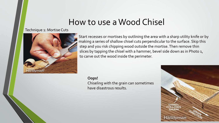## How to use a Wood Chisel

#### Technique 1: Mortise Cuts



Start recesses or mortises by outlining the area with a sharp utility knife or by making a series of shallow chisel cuts perpendicular to the surface. Skip this step and you risk chipping wood outside the mortise. Then remove thin slices by tapping the chisel with a hammer, bevel side down as in Photo 1, to carve out the wood inside the perimeter.

**Oops!** Chiseling with the grain can sometimes have disastrous results.

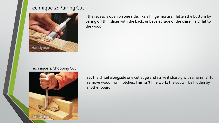### Technique 2: Pairing Cut



If the recess is open on one side, like a hinge mortise, flatten the bottom by paring off thin slices with the back, unbeveled side of the chisel held flat to the wood

#### Technique 3: Chopping Cut



Set the chisel alongside one cut edge and strike it sharply with a hammer to remove wood from notches. This isn't fine work; the cut will be hidden by another board.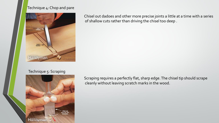#### Technique 4: Chop and pare



Chisel out dadoes and other more precise joints a little at a time with a series of shallow cuts rather than driving the chisel too deep .

#### Technique 5: Scraping



Scraping requires a perfectly flat, sharp edge. The chisel tip should scrape cleanly without leaving scratch marks in the wood.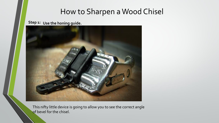### How to Sharpen a Wood Chisel

**Step 1: Use the honing guide.**



This nifty little device is going to allow you to see the correct angle of bevel for the chisel.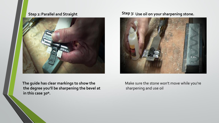#### **Step 2:Parallel and Straight**



**The guide has clear markings to show the the degree you'll be sharpening the bevel at in this case 30º.**

#### **Step 3: Use oil on your sharpening stone.**



Make sure the stone won't move while you're sharpening and use oil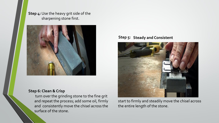**Step 4:** Use the heavy grit side of the sharpening stone first.



#### **Step 6: Clean & Crisp**

turn over the grinding stone to the fine grit and repeat the process; add some oil, firmly and consistently move the chisel across the surface of the stone.

#### **Step 5: Steady and Consistent**



start to firmly and steadily move the chisel across the entire length of the stone.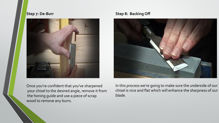#### **Step 7: De-Burr**



**Step 8: Backing Off**



Once you're confident that you've sharpened your chisel to the desired angle, remove it from the honing guide and use a piece of scrap wood to remove any burrs.

In this process we're going to make sure the underside of our chisel is nice and flat which will enhance the sharpness of our blade.